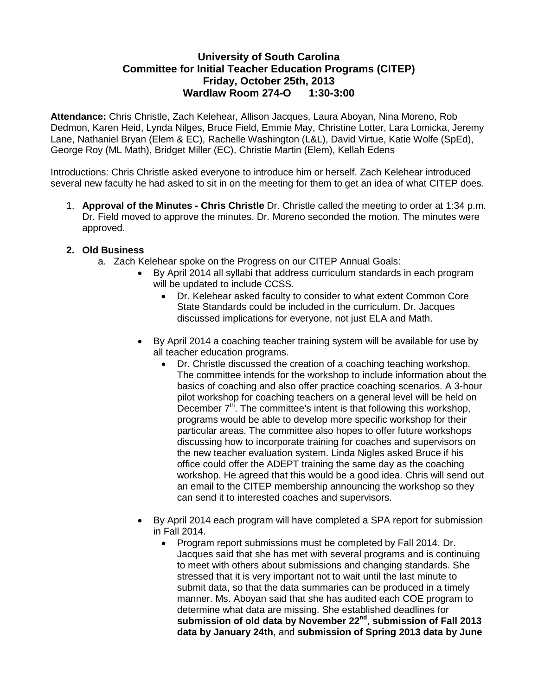## **University of South Carolina Committee for Initial Teacher Education Programs (CITEP) Friday, October 25th, 2013 Wardlaw Room 274-O 1:30-3:00**

**Attendance:** Chris Christle, Zach Kelehear, Allison Jacques, Laura Aboyan, Nina Moreno, Rob Dedmon, Karen Heid, Lynda Nilges, Bruce Field, Emmie May, Christine Lotter, Lara Lomicka, Jeremy Lane, Nathaniel Bryan (Elem & EC), Rachelle Washington (L&L), David Virtue, Katie Wolfe (SpEd), George Roy (ML Math), Bridget Miller (EC), Christie Martin (Elem), Kellah Edens

Introductions: Chris Christle asked everyone to introduce him or herself. Zach Kelehear introduced several new faculty he had asked to sit in on the meeting for them to get an idea of what CITEP does.

1. **Approval of the Minutes - Chris Christle** Dr. Christle called the meeting to order at 1:34 p.m. Dr. Field moved to approve the minutes. Dr. Moreno seconded the motion. The minutes were approved.

## **2. Old Business**

- a. Zach Kelehear spoke on the Progress on our CITEP Annual Goals:
	- By April 2014 all syllabi that address curriculum standards in each program will be updated to include CCSS.
		- Dr. Kelehear asked faculty to consider to what extent Common Core State Standards could be included in the curriculum. Dr. Jacques discussed implications for everyone, not just ELA and Math.
	- By April 2014 a coaching teacher training system will be available for use by all teacher education programs.
		- Dr. Christle discussed the creation of a coaching teaching workshop. The committee intends for the workshop to include information about the basics of coaching and also offer practice coaching scenarios. A 3-hour pilot workshop for coaching teachers on a general level will be held on December  $7<sup>th</sup>$ . The committee's intent is that following this workshop, programs would be able to develop more specific workshop for their particular areas. The committee also hopes to offer future workshops discussing how to incorporate training for coaches and supervisors on the new teacher evaluation system. Linda Nigles asked Bruce if his office could offer the ADEPT training the same day as the coaching workshop. He agreed that this would be a good idea. Chris will send out an email to the CITEP membership announcing the workshop so they can send it to interested coaches and supervisors.
	- By April 2014 each program will have completed a SPA report for submission in Fall 2014.
		- Program report submissions must be completed by Fall 2014. Dr. Jacques said that she has met with several programs and is continuing to meet with others about submissions and changing standards. She stressed that it is very important not to wait until the last minute to submit data, so that the data summaries can be produced in a timely manner. Ms. Aboyan said that she has audited each COE program to determine what data are missing. She established deadlines for **submission of old data by November 22nd**, **submission of Fall 2013 data by January 24th**, and **submission of Spring 2013 data by June**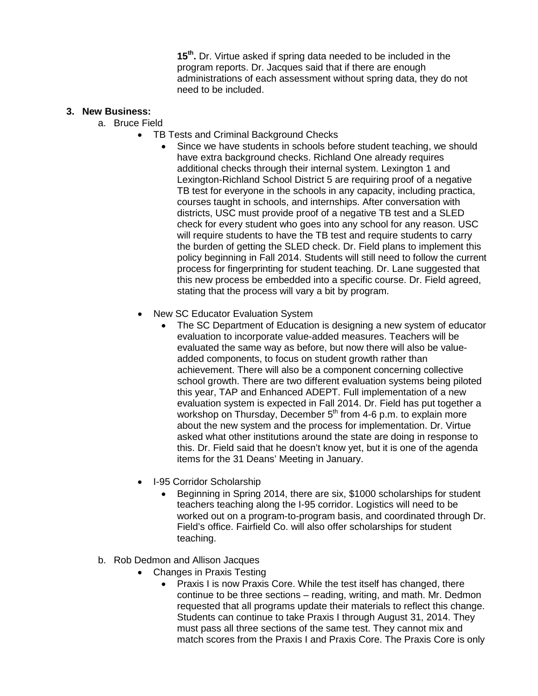**15th.** Dr. Virtue asked if spring data needed to be included in the program reports. Dr. Jacques said that if there are enough administrations of each assessment without spring data, they do not need to be included.

## **3. New Business:**

- a. Bruce Field
	- TB Tests and Criminal Background Checks<br>Since we have students in schools bet
		- Since we have students in schools before student teaching, we should have extra background checks. Richland One already requires additional checks through their internal system. Lexington 1 and Lexington-Richland School District 5 are requiring proof of a negative TB test for everyone in the schools in any capacity, including practica, courses taught in schools, and internships. After conversation with districts, USC must provide proof of a negative TB test and a SLED check for every student who goes into any school for any reason. USC will require students to have the TB test and require students to carry the burden of getting the SLED check. Dr. Field plans to implement this policy beginning in Fall 2014. Students will still need to follow the current process for fingerprinting for student teaching. Dr. Lane suggested that this new process be embedded into a specific course. Dr. Field agreed, stating that the process will vary a bit by program.
	- New SC Educator Evaluation System
		- The SC Department of Education is designing a new system of educator evaluation to incorporate value-added measures. Teachers will be evaluated the same way as before, but now there will also be valueadded components, to focus on student growth rather than achievement. There will also be a component concerning collective school growth. There are two different evaluation systems being piloted this year, TAP and Enhanced ADEPT. Full implementation of a new evaluation system is expected in Fall 2014. Dr. Field has put together a workshop on Thursday, December  $5<sup>th</sup>$  from 4-6 p.m. to explain more about the new system and the process for implementation. Dr. Virtue asked what other institutions around the state are doing in response to this. Dr. Field said that he doesn't know yet, but it is one of the agenda items for the 31 Deans' Meeting in January.
	- I-95 Corridor Scholarship
		- Beginning in Spring 2014, there are six, \$1000 scholarships for student teachers teaching along the I-95 corridor. Logistics will need to be worked out on a program-to-program basis, and coordinated through Dr. Field's office. Fairfield Co. will also offer scholarships for student teaching.
- b. Rob Dedmon and Allison Jacques
	- Changes in Praxis Testing
		- Praxis I is now Praxis Core. While the test itself has changed, there continue to be three sections – reading, writing, and math. Mr. Dedmon requested that all programs update their materials to reflect this change. Students can continue to take Praxis I through August 31, 2014. They must pass all three sections of the same test. They cannot mix and match scores from the Praxis I and Praxis Core. The Praxis Core is only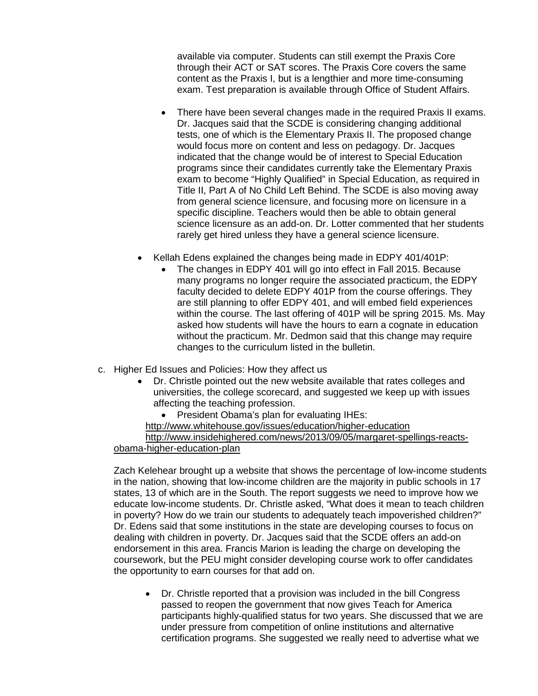available via computer. Students can still exempt the Praxis Core through their ACT or SAT scores. The Praxis Core covers the same content as the Praxis I, but is a lengthier and more time-consuming exam. Test preparation is available through Office of Student Affairs.

- There have been several changes made in the required Praxis II exams. Dr. Jacques said that the SCDE is considering changing additional tests, one of which is the Elementary Praxis II. The proposed change would focus more on content and less on pedagogy. Dr. Jacques indicated that the change would be of interest to Special Education programs since their candidates currently take the Elementary Praxis exam to become "Highly Qualified" in Special Education, as required in Title II, Part A of No Child Left Behind. The SCDE is also moving away from general science licensure, and focusing more on licensure in a specific discipline. Teachers would then be able to obtain general science licensure as an add-on. Dr. Lotter commented that her students rarely get hired unless they have a general science licensure.
- Kellah Edens explained the changes being made in EDPY 401/401P:
	- The changes in EDPY 401 will go into effect in Fall 2015. Because many programs no longer require the associated practicum, the EDPY faculty decided to delete EDPY 401P from the course offerings. They are still planning to offer EDPY 401, and will embed field experiences within the course. The last offering of 401P will be spring 2015. Ms. May asked how students will have the hours to earn a cognate in education without the practicum. Mr. Dedmon said that this change may require changes to the curriculum listed in the bulletin.
- c. Higher Ed Issues and Policies: How they affect us
	- Dr. Christle pointed out the new website available that rates colleges and universities, the college scorecard, and suggested we keep up with issues affecting the teaching profession.
	- President Obama's plan for evaluating IHEs: <http://www.whitehouse.gov/issues/education/higher-education> [http://www.insidehighered.com/news/2013/09/05/margaret-spellings-reacts-](http://www.insidehighered.com/news/2013/09/05/margaret-spellings-reacts-obama-higher-education-plan)

## [obama-higher-education-plan](http://www.insidehighered.com/news/2013/09/05/margaret-spellings-reacts-obama-higher-education-plan)

Zach Kelehear brought up a website that shows the percentage of low-income students in the nation, showing that low-income children are the majority in public schools in 17 states, 13 of which are in the South. The report suggests we need to improve how we educate low-income students. Dr. Christle asked, "What does it mean to teach children in poverty? How do we train our students to adequately teach impoverished children?" Dr. Edens said that some institutions in the state are developing courses to focus on dealing with children in poverty. Dr. Jacques said that the SCDE offers an add-on endorsement in this area. Francis Marion is leading the charge on developing the coursework, but the PEU might consider developing course work to offer candidates the opportunity to earn courses for that add on.

• Dr. Christle reported that a provision was included in the bill Congress passed to reopen the government that now gives Teach for America participants highly-qualified status for two years. She discussed that we are under pressure from competition of online institutions and alternative certification programs. She suggested we really need to advertise what we